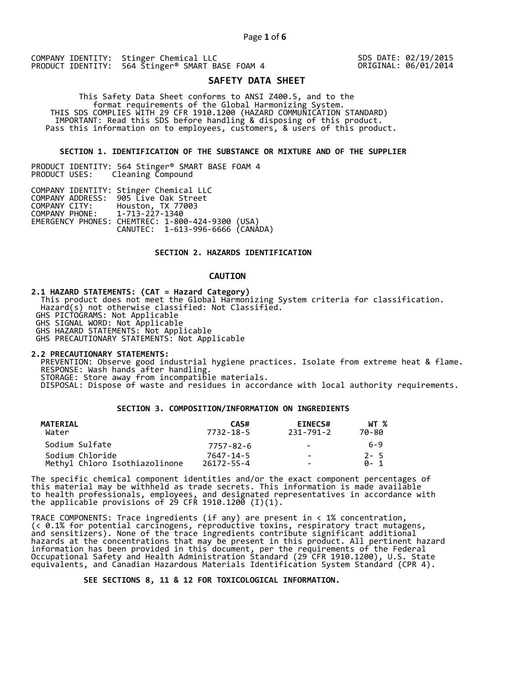SDS DATE: 02/19/2015 ORIGINAL: 06/01/2014

# **SAFETY DATA SHEET**

 This Safety Data Sheet conforms to ANSI Z400.5, and to the format requirements of the Global Harmonizing System. THIS SDS COMPLIES WITH 29 CFR 1910.1200 (HAZARD COMMUNICATION STANDARD) IMPORTANT: Read this SDS before handling & disposing of this product. Pass this information on to employees, customers, & users of this product.

## **SECTION 1. IDENTIFICATION OF THE SUBSTANCE OR MIXTURE AND OF THE SUPPLIER**

PRODUCT IDENTITY: 564 Stinger® SMART BASE FOAM 4 Cleaning Compound

|                               | COMPANY IDENTITY: Stinger Chemical LLC           |  |
|-------------------------------|--------------------------------------------------|--|
|                               | COMPANY ADDRESS: 905 Live Oak Street             |  |
|                               | COMPANY CITY: Houston, TX 77003                  |  |
| COMPANY PHONE: 1-713-227-1340 |                                                  |  |
|                               | EMERGENCY PHONES: CHEMTREC: 1-800-424-9300 (USA) |  |
|                               | CANUTEC: 1-613-996-6666 (CANÁDA)                 |  |

# **SECTION 2. HAZARDS IDENTIFICATION**

# **CAUTION**

**2.1 HAZARD STATEMENTS: (CAT = Hazard Category)**

 This product does not meet the Global Harmonizing System criteria for classification. Hazard(s) not otherwise classified: Not Classified.

GHS PICTOGRAMS: Not Applicable

GHS SIGNAL WORD: Not Applicable

GHS HAZARD STATEMENTS: Not Applicable

GHS PRECAUTIONARY STATEMENTS: Not Applicable

**2.2 PRECAUTIONARY STATEMENTS:** 

 PREVENTION: Observe good industrial hygiene practices. Isolate from extreme heat & flame. RESPONSE: Wash hands after handling. STORAGE: Store away from incompatible materials.

DISPOSAL: Dispose of waste and residues in accordance with local authority requirements.

# **SECTION 3. COMPOSITION/INFORMATION ON INGREDIENTS**

| MATERIAL<br>Water             | CAS#<br>7732-18-5 | <b>EINECS#</b><br>231-791-2  | WT %<br>70-80 |
|-------------------------------|-------------------|------------------------------|---------------|
| Sodium Sulfate                | 7757-82-6         | $\qquad \qquad -$            | 6-9           |
| Sodium Chloride               | 7647-14-5         | $\equiv$                     | $2 - 5$       |
| Methyl Chloro Isothiazolinone | 26172-55-4        | $\qquad \qquad \blacksquare$ | A- 1          |

The specific chemical component identities and/or the exact component percentages of this material may be withheld as trade secrets. This information is made available to health professionals, employees, and designated representatives in accordance with the applicable provisions of 29 CFR 1910.1200̄ (I)(1).  $\overline{\phantom{a}}$ 

TRACE COMPONENTS: Trace ingredients (if any) are present in < 1% concentration, (< 0.1% for potential carcinogens, reproductive toxins, respiratory tract mutagens, and sensitizers). None of the trace ingredients contribute significant additional hazards at the concentrations that may be present in this product. All pertinent hazard information has been provided in this document, per the requirements of the Federal Occupational Safety and Health Administration Standard (29 CFR 1910.1200), U.S. State equivalents, and Canadian Hazardous Materials Identification System Standard (CPR 4).

 **SEE SECTIONS 8, 11 & 12 FOR TOXICOLOGICAL INFORMATION.**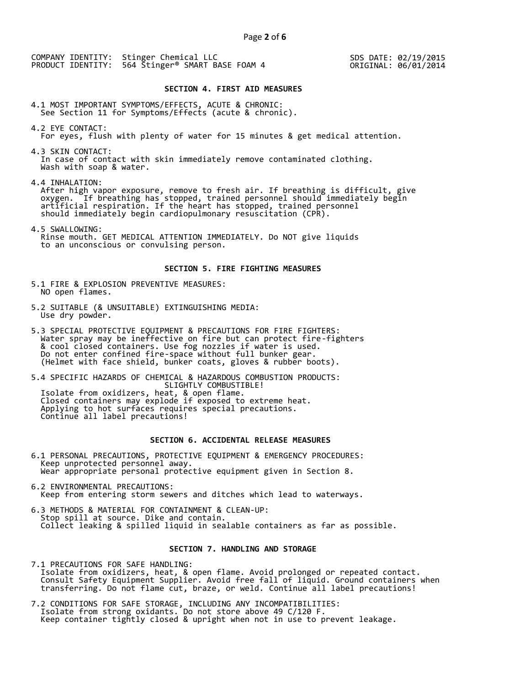SDS DATE: 02/19/2015 ORIGINAL: 06/01/2014

#### **SECTION 4. FIRST AID MEASURES**

4.1 MOST IMPORTANT SYMPTOMS/EFFECTS, ACUTE & CHRONIC: See Section 11 for Symptoms/Effects (acute & chronic).

- 4.2 EYE CONTACT: For eyes, flush with plenty of water for 15 minutes & get medical attention.
- 4.3 SKIN CONTACT: In case of contact with skin immediately remove contaminated clothing. Wash with soap & water.

4.4 INHALATION:

 After high vapor exposure, remove to fresh air. If breathing is difficult, give oxygen. If breathing has stopped, trained personnel should immediately begin artificial respiration. If the heart has stopped, trained personnel should immediately begin cardiopulmonary resuscitation (CPR).

4.5 SWALLOWING: Rinse mouth. GET MEDICAL ATTENTION IMMEDIATELY. Do NOT give liquids to an unconscious or convulsing person.

#### **SECTION 5. FIRE FIGHTING MEASURES**

- 5.1 FIRE & EXPLOSION PREVENTIVE MEASURES: NO open flames.
- 5.2 SUITABLE (& UNSUITABLE) EXTINGUISHING MEDIA: Use dry powder.
- 5.3 SPECIAL PROTECTIVE EQUIPMENT & PRECAUTIONS FOR FIRE FIGHTERS: Water spray may be ineffective on fire but can protect fire-fighters & cool closed containers. Use fog nozzles if water is used. Do not enter confined fire-space without full bunker gear. (Helmet with face shield, bunker coats, gloves & rubber boots).

5.4 SPECIFIC HAZARDS OF CHEMICAL & HAZARDOUS COMBUSTION PRODUCTS: SLIGHTLY COMBUSTIBLE! Isolate from oxidizers, heat, & open flame. Closed containers may explode if exposed to extreme heat. Applying to hot surfaces requires special precautions. Continue all label precautions!

# **SECTION 6. ACCIDENTAL RELEASE MEASURES**

- 6.1 PERSONAL PRECAUTIONS, PROTECTIVE EQUIPMENT & EMERGENCY PROCEDURES: Keep unprotected personnel away. Wear appropriate personal protective equipment given in Section 8.
- 6.2 ENVIRONMENTAL PRECAUTIONS: Keep from entering storm sewers and ditches which lead to waterways.
- 6.3 METHODS & MATERIAL FOR CONTAINMENT & CLEAN-UP: Stop spill at source. Dike and contain. Collect leaking & spilled liquid in sealable containers as far as possible.

# **SECTION 7. HANDLING AND STORAGE**

7.1 PRECAUTIONS FOR SAFE HANDLING: Isolate from oxidizers, heat, & open flame. Avoid prolonged or repeated contact. Consult Safety Equipment Supplier. Avoid free fall of liquid. Ground containers when transferring. Do not flame cut, braze, or weld. Continue all label precautions!

7.2 CONDITIONS FOR SAFE STORAGE, INCLUDING ANY INCOMPATIBILITIES: Isolate from strong oxidants. Do not store above 49 C/120 F. Keep container tightly closed & upright when not in use to prevent leakage.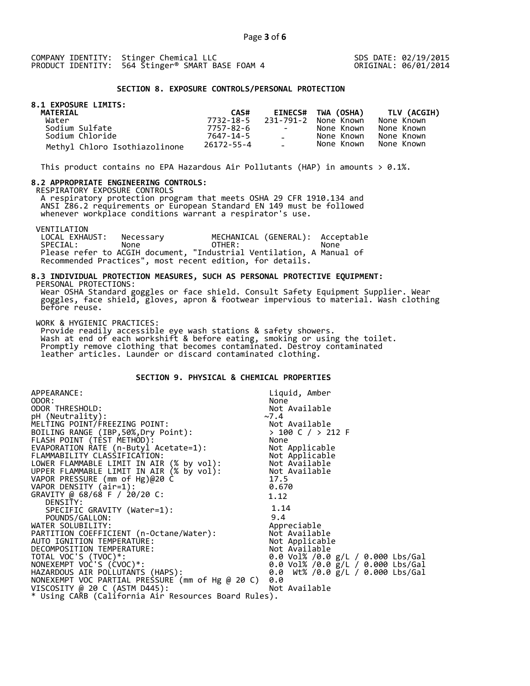SDS DATE: 02/19/2015 ORIGINAL: 06/01/2014

#### **SECTION 8. EXPOSURE CONTROLS/PERSONAL PROTECTION**

# **8.1 EXPOSURE LIMITS:**

| <b>MATERIAL</b>               | CAS#       |                          | EINECS# TWA (OSHA)   | <b>TLV (ACGIH)</b> |
|-------------------------------|------------|--------------------------|----------------------|--------------------|
| Water                         | 7732-18-5  |                          | 231-791-2 None Known | None Known         |
| Sodium Sulfate                | 7757-82-6  | <b>Contract Contract</b> | None Known           | None Known         |
| Sodium Chloride               | 7647-14-5  | $\Delta \sim 10^{-10}$   | None Known           | None Known         |
| Methyl Chloro Isothiazolinone | 26172-55-4 | $\sim$ 10 $\sim$         | None Known           | None Known         |

This product contains no EPA Hazardous Air Pollutants (HAP) in amounts  $> 0.1\%$ .

#### **8.2 APPROPRIATE ENGINEERING CONTROLS:**

RESPIRATORY EXPOSURE CONTROLS

 A respiratory protection program that meets OSHA 29 CFR 1910.134 and ANSI Z86.2 requirements or European Standard EN 149 must be followed whenever workplace conditions warrant a respirator's use.

VENTILATION<br>LOCAL EXHAUST: LOCAL EXHAUST: Necessary MECHANICAL (GENERAL): Acceptable SPECIAL: None OTHER: None Please refer to ACGIH document, "Industrial Ventilation, A Manual of Recommended Practices", most recent edition, for details.

#### **8.3 INDIVIDUAL PROTECTION MEASURES, SUCH AS PERSONAL PROTECTIVE EQUIPMENT:**  PERSONAL PROTECTIONS:

 Wear OSHA Standard goggles or face shield. Consult Safety Equipment Supplier. Wear goggles, face shield, gloves, apron & footwear impervious to material. Wash clothing before reuse.

WORK & HYGIENIC PRACTICES:

 Provide readily accessible eye wash stations & safety showers. Wash at end of each workshift & before eating, smoking or using the toilet. Promptly remove clothing that becomes contaminated. Destroy contaminated leather articles. Launder or discard contaminated clothing.

# **SECTION 9. PHYSICAL & CHEMICAL PROPERTIES**

| APPEARANCE:                                                                                                                                      | Liquid, Amber                                  |  |  |
|--------------------------------------------------------------------------------------------------------------------------------------------------|------------------------------------------------|--|--|
| ODOR:                                                                                                                                            | None                                           |  |  |
| ODOR THRESHOLD:                                                                                                                                  | Not Available                                  |  |  |
| pH (Neutrality):                                                                                                                                 | ~1.4                                           |  |  |
| MELTING POINT/FREEZING POINT:                                                                                                                    |                                                |  |  |
| BOILING RANGE (IBP, 50%, Dry Point):                                                                                                             | Not Available<br>> 100 C / > 212 F             |  |  |
| FLASH POINT (TEST METHOD):                                                                                                                       | None                                           |  |  |
| EVAPORATION RATE (n-Butyl Acetate=1):                                                                                                            | Not Applicable                                 |  |  |
| FLAMMABILITY CLASSIFICATION:<br>LOWER FLAMMABLE LIMIT IN AIR (% by vol): Not Available<br>UPPER FLAMMABLE LIMIT IN AIR (% by vol): Not Available |                                                |  |  |
|                                                                                                                                                  |                                                |  |  |
|                                                                                                                                                  |                                                |  |  |
| VAPOR PRESSURE (mm of Hg)@20 C                                                                                                                   | 17.5                                           |  |  |
| VAPOR DENSITY (air=1):                                                                                                                           | 0.670                                          |  |  |
| GRAVITY @ 68/68 F / 20/20 C:                                                                                                                     | 1.12                                           |  |  |
| DENSITY:                                                                                                                                         |                                                |  |  |
| SPECIFIC GRAVITY (Water=1):                                                                                                                      | 1.14                                           |  |  |
| POUNDS/GALLON:                                                                                                                                   | 9.4                                            |  |  |
| WATER SOLUBILITY:                                                                                                                                | Appreciable                                    |  |  |
| PARTITION COEFFICIENT (n-Octane/Water):                                                                                                          | Not Available                                  |  |  |
| AUTO IGNITION TEMPERATURE:                                                                                                                       | Not Applicable                                 |  |  |
| DECOMPOSITION TEMPERATURE:                                                                                                                       | Not Available                                  |  |  |
| TOTAL VOC'S (TVOC)*:                                                                                                                             | 0.0 Vol% /0.0 $g/L$ / 0.000 Lbs/Gal            |  |  |
| NONEXEMPT VOC'S (CVOC)*:                                                                                                                         | 0.0 Vol% /0.0 $\frac{1}{2}$ /L / 0.000 Lbs/Gal |  |  |
| HAZARDOUS AIR POLLUTANTS (HAPS):                                                                                                                 | 0.0 Wt% /0.0 g/L / 0.000 Lbs/Gal               |  |  |
| NONEXEMPT VOC PARTIAL PRESSURE (mm of Hg @ 20 C)                                                                                                 | 0.0                                            |  |  |
| VISCOSITY @ 20 C (ASTM D445):                                                                                                                    | Not Available                                  |  |  |
| * Using CARB (California Air Resources Board Rules).                                                                                             |                                                |  |  |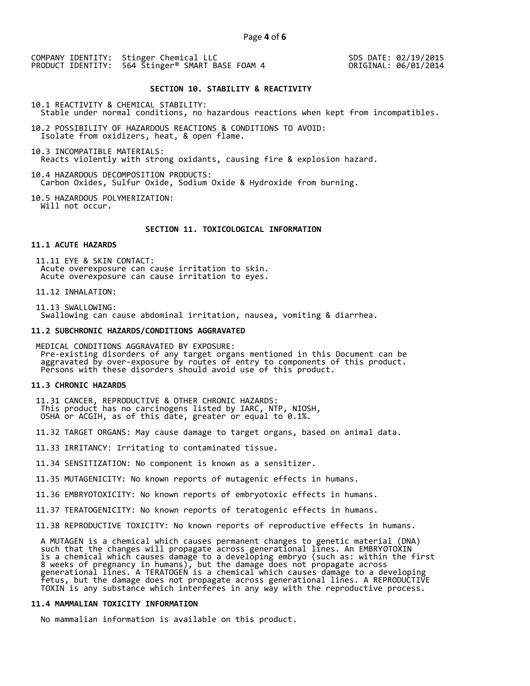SDS DATE: 02/19/2015 ORIGINAL: 06/01/2014

# **SECTION 10. STABILITY & REACTIVITY**

10.1 REACTIVITY & CHEMICAL STABILITY: Stable under normal conditions, no hazardous reactions when kept from incompatibles.

10.2 POSSIBILITY OF HAZARDOUS REACTIONS & CONDITIONS TO AVOID: Isolate from oxidizers, heat, & open flame.

10.3 INCOMPATIBLE MATERIALS: Reacts violently with strong oxidants, causing fire & explosion hazard.

10.4 HAZARDOUS DECOMPOSITION PRODUCTS: Carbon Oxides, Sulfur Oxide, Sodium Oxide & Hydroxide from burning.

10.5 HAZARDOUS POLYMERIZATION: Will not occur.

## **SECTION 11. TOXICOLOGICAL INFORMATION**

# **11.1 ACUTE HAZARDS**

 11.11 EYE & SKIN CONTACT: Acute overexposure can cause irritation to skin. Acute overexposure can cause irritation to eyes.

11.12 INHALATION:

 11.13 SWALLOWING: Swallowing can cause abdominal irritation, nausea, vomiting & diarrhea.

#### **11.2 SUBCHRONIC HAZARDS/CONDITIONS AGGRAVATED**

 MEDICAL CONDITIONS AGGRAVATED BY EXPOSURE: Pre-existing disorders of any target organs mentioned in this Document can be aggravated by over-exposure by routes of entry to components of this product. Persons with these disorders should avoid use of this product.

#### **11.3 CHRONIC HAZARDS**

 11.31 CANCER, REPRODUCTIVE & OTHER CHRONIC HAZARDS: This product has no carcinogens listed by IARC, NTP, NIOSH, OSHA or ACGIH, as of this date, greater or equal to 0.1%.

11.32 TARGET ORGANS: May cause damage to target organs, based on animal data.

11.33 IRRITANCY: Irritating to contaminated tissue.

11.34 SENSITIZATION: No component is known as a sensitizer.

11.35 MUTAGENICITY: No known reports of mutagenic effects in humans.

11.36 EMBRYOTOXICITY: No known reports of embryotoxic effects in humans.

11.37 TERATOGENICITY: No known reports of teratogenic effects in humans.

11.38 REPRODUCTIVE TOXICITY: No known reports of reproductive effects in humans.

 A MUTAGEN is a chemical which causes permanent changes to genetic material (DNA) such that the changes will propagate across generational lines. An EMBRYOTOXIN is a chemical which causes damage to a developing embryo (such as: within the first 8 weeks of pregnancy in humans), but the damage does not propagate across generational lines. A TERATOGEN is a chemical which causes damage to a developing fetus, but the damage does not propagate across generational lines. A REPRODUCTIVE TOXIN is any substance which interferes in any way with the reproductive process.

# **11.4 MAMMALIAN TOXICITY INFORMATION**

No mammalian information is available on this product.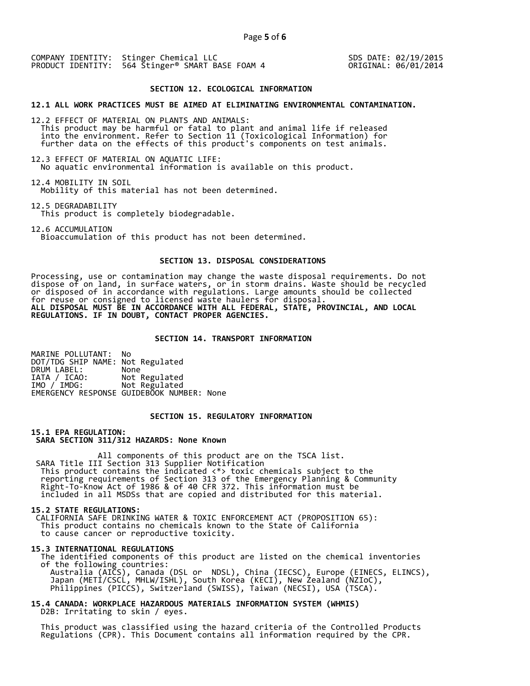SDS DATE: 02/19/2015 ORIGINAL: 06/01/2014

#### **SECTION 12. ECOLOGICAL INFORMATION**

**12.1 ALL WORK PRACTICES MUST BE AIMED AT ELIMINATING ENVIRONMENTAL CONTAMINATION.** 

12.2 EFFECT OF MATERIAL ON PLANTS AND ANIMALS: This product may be harmful or fatal to plant and animal life if released into the environment. Refer to Section 11 (Toxicological Information) for further data on the effects of this product's components on test animals.

12.3 EFFECT OF MATERIAL ON AQUATIC LIFE: No aquatic environmental information is available on this product.

12.4 MOBILITY IN SOIL Mobility of this material has not been determined.

12.5 DEGRADABILITY This product is completely biodegradable.

12.6 ACCUMULATION Bioaccumulation of this product has not been determined.

# **SECTION 13. DISPOSAL CONSIDERATIONS**

Processing, use or contamination may change the waste disposal requirements. Do not dispose of on land, in surface waters, or in storm drains. Waste should be recycled or disposed of in accordance with regulations. Large amounts should be collected for reuse or consigned to licensed waste haulers for disposal. **ALL DISPOSAL MUST BE IN ACCORDANCE WITH ALL FEDERAL, STATE, PROVINCIAL, AND LOCAL REGULATIONS. IF IN DOUBT, CONTACT PROPER AGENCIES.** 

## **SECTION 14. TRANSPORT INFORMATION**

MARINE POLLUTANT: No DOT/TDG SHIP NAME: Not Regulated DRUM LABEL:<br>IATA / ICAO: IATA / ICAO: Not Regulated<br>IMO / IMDG: Not Regulated Not Regulated EMERGENCY RESPONSE GUIDEBOOK NUMBER: None

# **SECTION 15. REGULATORY INFORMATION**

**15.1 EPA REGULATION: SARA SECTION 311/312 HAZARDS: None Known** 

All components of this product are on the TSCA list. SARA Title III Section 313 Supplier Notification This product contains the indicated <\*> toxic chemicals subject to the reporting requirements of Section 313 of the Emergency Planning & Community Right-To-Know Act of 1986 & of 40 CFR 372. This information must be included in all MSDSs that are copied and distributed for this material.

#### **15.2 STATE REGULATIONS:**

 CALIFORNIA SAFE DRINKING WATER & TOXIC ENFORCEMENT ACT (PROPOSITION 65): This product contains no chemicals known to the State of California to cause cancer or reproductive toxicity.

#### **15.3 INTERNATIONAL REGULATIONS**

 The identified components of this product are listed on the chemical inventories of the following countries: Australia (AICS), Canada (DSL or NDSL), China (IECSC), Europe (EINECS, ELINCS), Japan (METI/CSCL, MHLW/ISHL), South Korea (KECI), New Zealand (NZIoC), Philippines (PICCS), Switzerland (SWISS), Taiwan (NECSI), USA (TSCA).

**15.4 CANADA: WORKPLACE HAZARDOUS MATERIALS INFORMATION SYSTEM (WHMIS)**  D2B: Irritating to skin / eyes.

 This product was classified using the hazard criteria of the Controlled Products Regulations (CPR). This Document contains all information required by the CPR.